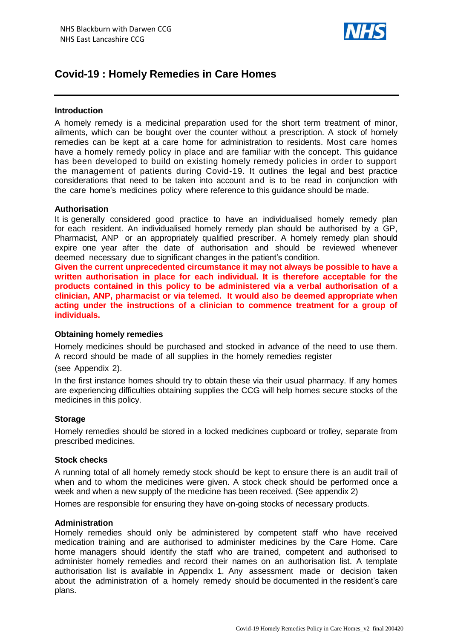

# **Covid-19 : Homely Remedies in Care Homes**

#### **Introduction**

A homely remedy is a medicinal preparation used for the short term treatment of minor, ailments, which can be bought over the counter without a prescription. A stock of homely remedies can be kept at a care home for administration to residents. Most care homes have a homely remedy policy in place and are familiar with the concept. This guidance has been developed to build on existing homely remedy policies in order to support the management of patients during Covid-19. It outlines the legal and best practice considerations that need to be taken into account and is to be read in conjunction with the care home's medicines policy where reference to this guidance should be made.

#### **Authorisation**

It is generally considered good practice to have an individualised homely remedy plan for each resident. An individualised homely remedy plan should be authorised by a GP, Pharmacist, ANP or an appropriately qualified prescriber. A homely remedy plan should expire one year after the date of authorisation and should be reviewed whenever deemed necessary due to significant changes in the patient's condition.

**Given the current unprecedented circumstance it may not always be possible to have a written authorisation in place for each individual. It is therefore acceptable for the products contained in this policy to be administered via a verbal authorisation of a clinician, ANP, pharmacist or via telemed. It would also be deemed appropriate when acting under the instructions of a clinician to commence treatment for a group of individuals.** 

#### **Obtaining homely remedies**

Homely medicines should be purchased and stocked in advance of the need to use them. A record should be made of all supplies in the homely remedies register

(see Appendix 2).

In the first instance homes should try to obtain these via their usual pharmacy. If any homes are experiencing difficulties obtaining supplies the CCG will help homes secure stocks of the medicines in this policy.

#### **Storage**

Homely remedies should be stored in a locked medicines cupboard or trolley, separate from prescribed medicines.

#### **Stock checks**

A running total of all homely remedy stock should be kept to ensure there is an audit trail of when and to whom the medicines were given. A stock check should be performed once a week and when a new supply of the medicine has been received. (See appendix 2)

Homes are responsible for ensuring they have on-going stocks of necessary products.

#### **Administration**

Homely remedies should only be administered by competent staff who have received medication training and are authorised to administer medicines by the Care Home. Care home managers should identify the staff who are trained, competent and authorised to administer homely remedies and record their names on an authorisation list. A template authorisation list is available in Appendix 1. Any assessment made or decision taken about the administration of a homely remedy should be documented in the resident's care plans.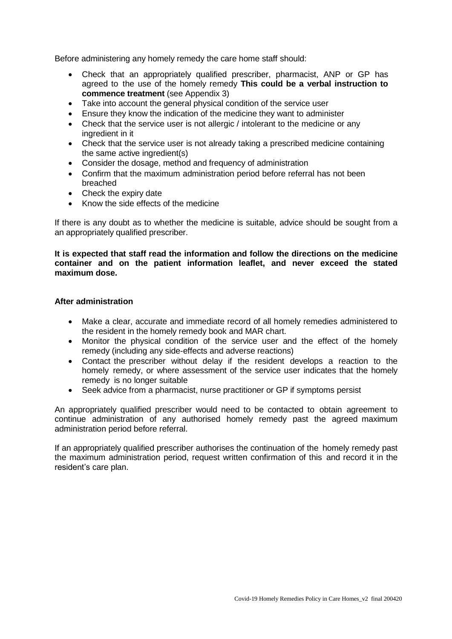Before administering any homely remedy the care home staff should:

- Check that an appropriately qualified prescriber, pharmacist, ANP or GP has agreed to the use of the homely remedy **This could be a verbal instruction to commence treatment** (see Appendix 3)
- Take into account the general physical condition of the service user
- Ensure they know the indication of the medicine they want to administer
- Check that the service user is not allergic / intolerant to the medicine or any ingredient in it
- Check that the service user is not already taking a prescribed medicine containing the same active ingredient(s)
- Consider the dosage, method and frequency of administration
- Confirm that the maximum administration period before referral has not been breached
- Check the expiry date
- Know the side effects of the medicine

If there is any doubt as to whether the medicine is suitable, advice should be sought from a an appropriately qualified prescriber.

**It is expected that staff read the information and follow the directions on the medicine container and on the patient information leaflet, and never exceed the stated maximum dose.**

#### **After administration**

- Make a clear, accurate and immediate record of all homely remedies administered to the resident in the homely remedy book and MAR chart.
- Monitor the physical condition of the service user and the effect of the homely remedy (including any side-effects and adverse reactions)
- Contact the prescriber without delay if the resident develops a reaction to the homely remedy, or where assessment of the service user indicates that the homely remedy is no longer suitable
- Seek advice from a pharmacist, nurse practitioner or GP if symptoms persist

An appropriately qualified prescriber would need to be contacted to obtain agreement to continue administration of any authorised homely remedy past the agreed maximum administration period before referral.

If an appropriately qualified prescriber authorises the continuation of the homely remedy past the maximum administration period, request written confirmation of this and record it in the resident's care plan.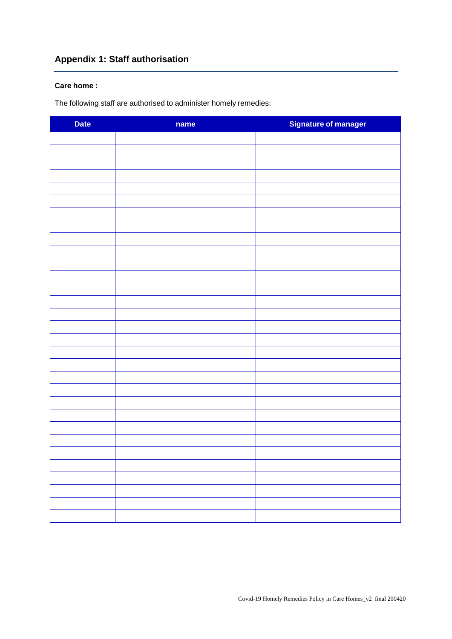# **Appendix 1: Staff authorisation**

#### **Care home :**

The following staff are authorised to administer homely remedies:

| <b>Date</b> | name | Signature of manager |
|-------------|------|----------------------|
|             |      |                      |
|             |      |                      |
|             |      |                      |
|             |      |                      |
|             |      |                      |
|             |      |                      |
|             |      |                      |
|             |      |                      |
|             |      |                      |
|             |      |                      |
|             |      |                      |
|             |      |                      |
|             |      |                      |
|             |      |                      |
|             |      |                      |
|             |      |                      |
|             |      |                      |
|             |      |                      |
|             |      |                      |
|             |      |                      |
|             |      |                      |
|             |      |                      |
|             |      |                      |
|             |      |                      |
|             |      |                      |
|             |      |                      |
|             |      |                      |
|             |      |                      |
|             |      |                      |
|             |      |                      |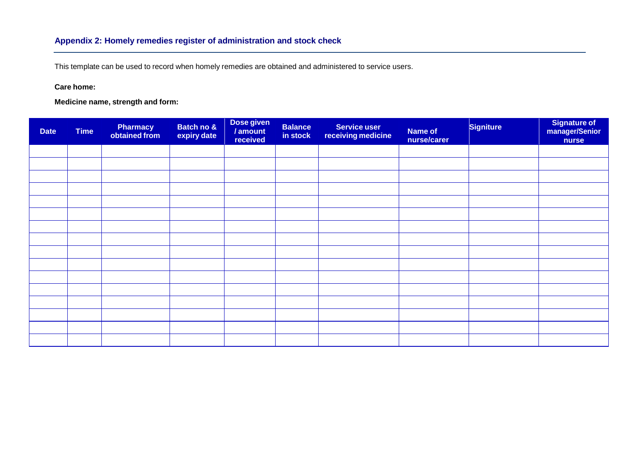This template can be used to record when homely remedies are obtained and administered to service users.

**Care home:**

**Medicine name, strength and form:**

| <b>Date</b> | <b>Time</b> | <b>Pharmacy</b><br>obtained from | Batch no &<br>expiry date | Dose given<br>/ amount<br>received | <b>Balance</b><br>in stock | <b>Service user</b><br>receiving medicine | <b>Name of</b><br>nurse/carer | <b>Signiture</b> | Signature of<br>manager/Senior<br>nurse |
|-------------|-------------|----------------------------------|---------------------------|------------------------------------|----------------------------|-------------------------------------------|-------------------------------|------------------|-----------------------------------------|
|             |             |                                  |                           |                                    |                            |                                           |                               |                  |                                         |
|             |             |                                  |                           |                                    |                            |                                           |                               |                  |                                         |
|             |             |                                  |                           |                                    |                            |                                           |                               |                  |                                         |
|             |             |                                  |                           |                                    |                            |                                           |                               |                  |                                         |
|             |             |                                  |                           |                                    |                            |                                           |                               |                  |                                         |
|             |             |                                  |                           |                                    |                            |                                           |                               |                  |                                         |
|             |             |                                  |                           |                                    |                            |                                           |                               |                  |                                         |
|             |             |                                  |                           |                                    |                            |                                           |                               |                  |                                         |
|             |             |                                  |                           |                                    |                            |                                           |                               |                  |                                         |
|             |             |                                  |                           |                                    |                            |                                           |                               |                  |                                         |
|             |             |                                  |                           |                                    |                            |                                           |                               |                  |                                         |
|             |             |                                  |                           |                                    |                            |                                           |                               |                  |                                         |
|             |             |                                  |                           |                                    |                            |                                           |                               |                  |                                         |
|             |             |                                  |                           |                                    |                            |                                           |                               |                  |                                         |
|             |             |                                  |                           |                                    |                            |                                           |                               |                  |                                         |
|             |             |                                  |                           |                                    |                            |                                           |                               |                  |                                         |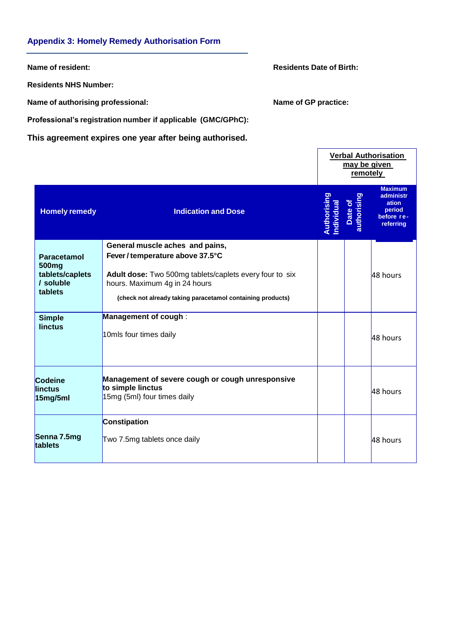#### **Appendix 3: Homely Remedy Authorisation Form**

**Residents NHS Number:**

**Name of authorising professional: Name of GP practice:**

**Name of resident: Resident: Residents Date** of **Birth: Residents Date** of **Birth:** 

**Professional's registration number if applicable (GMC/GPhC):**

**This agreement expires one year after being authorised.**

|                                                                             |                                                                                                                                                                                                                               |                           |                        | <b>Verbal Authorisation</b><br>may be given<br>remotely                   |  |  |
|-----------------------------------------------------------------------------|-------------------------------------------------------------------------------------------------------------------------------------------------------------------------------------------------------------------------------|---------------------------|------------------------|---------------------------------------------------------------------------|--|--|
| <b>Homely remedy</b>                                                        | <b>Indication and Dose</b>                                                                                                                                                                                                    | Authorising<br>Individual | Date of<br>authorising | <b>Maximum</b><br>administr<br>ation<br>period<br>before re-<br>referring |  |  |
| Paracetamol<br>500 <sub>mg</sub><br>tablets/caplets<br>/ soluble<br>tablets | General muscle aches and pains,<br>Fever / temperature above 37.5°C<br>Adult dose: Two 500mg tablets/caplets every four to six<br>hours. Maximum 4g in 24 hours<br>(check not already taking paracetamol containing products) |                           |                        | 48 hours                                                                  |  |  |
| <b>Simple</b><br>linctus                                                    | Management of cough:<br>10mls four times daily                                                                                                                                                                                |                           |                        | 48 hours                                                                  |  |  |
| <b>Codeine</b><br>linctus<br>15mg/5ml                                       | Management of severe cough or cough unresponsive<br>to simple linctus<br>15mg (5ml) four times daily                                                                                                                          |                           |                        | 48 hours                                                                  |  |  |
| Senna 7.5mg<br>tablets                                                      | Constipation<br>Two 7.5mg tablets once daily                                                                                                                                                                                  |                           |                        | 48 hours                                                                  |  |  |